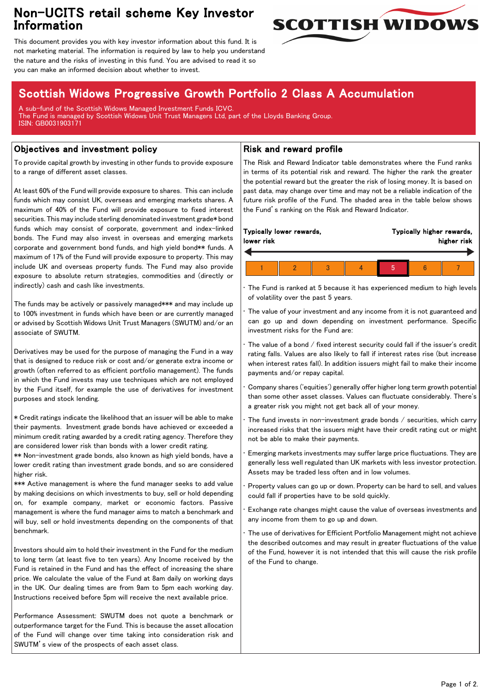## Non-UCITS retail scheme Key Investor Information



This document provides you with key investor information about this fund. It is not marketing material. The information is required by law to help you understand the nature and the risks of investing in this fund. You are advised to read it so you can make an informed decision about whether to invest.

# Scottish Widows Progressive Growth Portfolio 2 Class A Accumulation

A sub-fund of the Scottish Widows Managed Investment Funds ICVC. The Fund is managed by Scottish Widows Unit Trust Managers Ltd, part of the Lloyds Banking Group. ISIN: GB0031903171

### Objectives and investment policy

To provide capital growth by investing in other funds to provide exposure to a range of different asset classes.

At least 60% of the Fund will provide exposure to shares. This can include funds which may consist UK, overseas and emerging markets shares. A maximum of 40% of the Fund will provide exposure to fixed interest securities. This may include sterling denominated investment grade\* bond funds which may consist of corporate, government and index-linked bonds. The Fund may also invest in overseas and emerging markets corporate and government bond funds, and high yield bond\*\* funds. A maximum of 17% of the Fund will provide exposure to property. This may include UK and overseas property funds. The Fund may also provide exposure to absolute return strategies, commodities and (directly or indirectly) cash and cash like investments.

The funds may be actively or passively managed\*\*\* and may include up to 100% investment in funds which have been or are currently managed or advised by Scottish Widows Unit Trust Managers (SWUTM) and/or an associate of SWUTM.

Derivatives may be used for the purpose of managing the Fund in a way that is designed to reduce risk or cost and/or generate extra income or growth (often referred to as efficient portfolio management). The funds in which the Fund invests may use techniques which are not employed by the Fund itself, for example the use of derivatives for investment purposes and stock lending.

\* Credit ratings indicate the likelihood that an issuer will be able to make their payments. Investment grade bonds have achieved or exceeded a minimum credit rating awarded by a credit rating agency. Therefore they are considered lower risk than bonds with a lower credit rating.

\*\* Non-investment grade bonds, also known as high yield bonds, have a lower credit rating than investment grade bonds, and so are considered higher risk.

\*\*\* Active management is where the fund manager seeks to add value by making decisions on which investments to buy, sell or hold depending on, for example company, market or economic factors. Passive management is where the fund manager aims to match a benchmark and will buy, sell or hold investments depending on the components of that benchmark.

Investors should aim to hold their investment in the Fund for the medium to long term (at least five to ten years). Any Income received by the Fund is retained in the Fund and has the effect of increasing the share price. We calculate the value of the Fund at 8am daily on working days in the UK. Our dealing times are from 9am to 5pm each working day. Instructions received before 5pm will receive the next available price.

Performance Assessment: SWUTM does not quote a benchmark or outperformance target for the Fund. This is because the asset allocation of the Fund will change over time taking into consideration risk and SWUTM's view of the prospects of each asset class.

### Risk and reward profile

The Risk and Reward Indicator table demonstrates where the Fund ranks in terms of its potential risk and reward. The higher the rank the greater the potential reward but the greater the risk of losing money. It is based on past data, may change over time and may not be a reliable indication of the future risk profile of the Fund. The shaded area in the table below shows the Fund's ranking on the Risk and Reward Indicator.

| lower risk | Typically lower rewards, |  | Typically higher rewards,<br>higher risk |  |  |
|------------|--------------------------|--|------------------------------------------|--|--|
|            |                          |  |                                          |  |  |
|            |                          |  |                                          |  |  |

• The Fund is ranked at 5 because it has experienced medium to high levels of volatility over the past 5 years.

The value of your investment and any income from it is not guaranteed and can go up and down depending on investment performance. Specific investment risks for the Fund are:

• The value of a bond / fixed interest security could fall if the issuer's credit rating falls. Values are also likely to fall if interest rates rise (but increase when interest rates fall). In addition issuers might fail to make their income payments and/or repay capital.

• Company shares ('equities') generally offer higher long term growth potential than some other asset classes. Values can fluctuate considerably. There's a greater risk you might not get back all of your money.

The fund invests in non-investment grade bonds  $/$  securities, which carry increased risks that the issuers might have their credit rating cut or might not be able to make their payments.

• Emerging markets investments may suffer large price fluctuations. They are generally less well regulated than UK markets with less investor protection. Assets may be traded less often and in low volumes.

• Property values can go up or down. Property can be hard to sell, and values could fall if properties have to be sold quickly.

• Exchange rate changes might cause the value of overseas investments and any income from them to go up and down.

The use of derivatives for Efficient Portfolio Management might not achieve the described outcomes and may result in greater fluctuations of the value of the Fund, however it is not intended that this will cause the risk profile of the Fund to change.